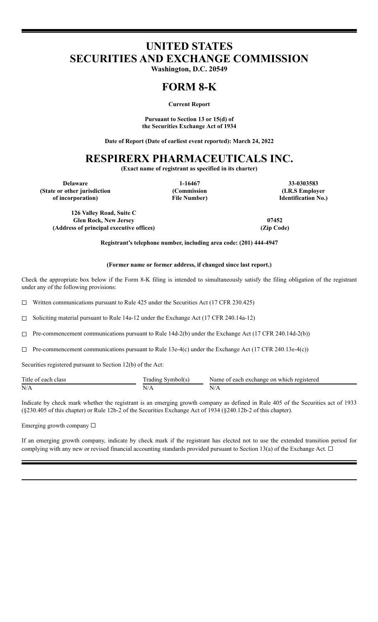# **UNITED STATES SECURITIES AND EXCHANGE COMMISSION**

**Washington, D.C. 20549**

## **FORM 8-K**

**Current Report**

**Pursuant to Section 13 or 15(d) of the Securities Exchange Act of 1934**

**Date of Report (Date of earliest event reported): March 24, 2022**

## **RESPIRERX PHARMACEUTICALS INC.**

**(Exact name of registrant as specified in its charter)**

**(State or other jurisdiction of incorporation)**

**(Commission File Number)**

**Delaware 1-16467 33-0303583 (I.R.S Employer Identification No.)**

**126 Valley Road, Suite C Glen Rock, New Jersey 07452 (Address of principal executive offices) (Zip Code)**

**Registrant's telephone number, including area code: (201) 444-4947**

#### **(Former name or former address, if changed since last report.)**

Check the appropriate box below if the Form 8-K filing is intended to simultaneously satisfy the filing obligation of the registrant under any of the following provisions:

 $\Box$  Written communications pursuant to Rule 425 under the Securities Act (17 CFR 230.425)

☐ Soliciting material pursuant to Rule 14a-12 under the Exchange Act (17 CFR 240.14a-12)

 $\Box$  Pre-commencement communications pursuant to Rule 14d-2(b) under the Exchange Act (17 CFR 240.14d-2(b))

 $\Box$  Pre-commencement communications pursuant to Rule 13e-4(c) under the Exchange Act (17 CFR 240.13e-4(c))

Securities registered pursuant to Section 12(b) of the Act:

| Title of<br>each<br>class | rad'<br>l 1 n O<br><b>Symbol</b> s | each exchange on :<br>registered<br>⊢which<br>Name<br>. |
|---------------------------|------------------------------------|---------------------------------------------------------|
| N/A                       | $N_{L}$                            | $N_{11}$                                                |

Indicate by check mark whether the registrant is an emerging growth company as defined in Rule 405 of the Securities act of 1933 (§230.405 of this chapter) or Rule 12b-2 of the Securities Exchange Act of 1934 (§240.12b-2 of this chapter).

Emerging growth company ☐

If an emerging growth company, indicate by check mark if the registrant has elected not to use the extended transition period for complying with any new or revised financial accounting standards provided pursuant to Section 13(a) of the Exchange Act.  $\Box$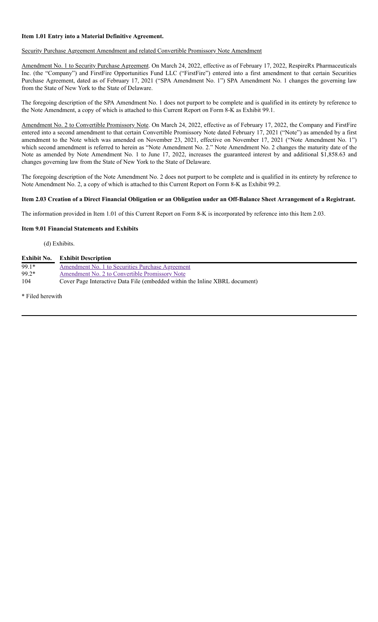#### **Item 1.01 Entry into a Material Definitive Agreement.**

#### Security Purchase Agreement Amendment and related Convertible Promissory Note Amendment

Amendment No. 1 to Security Purchase Agreement. On March 24, 2022, effective as of February 17, 2022, RespireRx Pharmaceuticals Inc. (the "Company") and FirstFire Opportunities Fund LLC ("FirstFire") entered into a first amendment to that certain Securities Purchase Agreement, dated as of February 17, 2021 ("SPA Amendment No. 1") SPA Amendment No. 1 changes the governing law from the State of New York to the State of Delaware.

The foregoing description of the SPA Amendment No. 1 does not purport to be complete and is qualified in its entirety by reference to the Note Amendment, a copy of which is attached to this Current Report on Form 8-K as Exhibit 99.1.

Amendment No. 2 to Convertible Promissory Note. On March 24, 2022, effective as of February 17, 2022, the Company and FirstFire entered into a second amendment to that certain Convertible Promissory Note dated February 17, 2021 ("Note") as amended by a first amendment to the Note which was amended on November 23, 2021, effective on November 17, 2021 ("Note Amendment No. 1") which second amendment is referred to herein as "Note Amendment No. 2." Note Amendment No. 2 changes the maturity date of the Note as amended by Note Amendment No. 1 to June 17, 2022, increases the guaranteed interest by and additional \$1,858.63 and changes governing law from the State of New York to the State of Delaware.

The foregoing description of the Note Amendment No. 2 does not purport to be complete and is qualified in its entirety by reference to Note Amendment No. 2, a copy of which is attached to this Current Report on Form 8-K as Exhibit 99.2.

#### Item 2.03 Creation of a Direct Financial Obligation or an Obligation under an Off-Balance Sheet Arrangement of a Registrant.

The information provided in Item 1.01 of this Current Report on Form 8-K is incorporated by reference into this Item 2.03.

#### **Item 9.01 Financial Statements and Exhibits**

(d) Exhibits.

|         | <b>Exhibit No.</b> Exhibit Description                                      |
|---------|-----------------------------------------------------------------------------|
| $99.1*$ | Amendment No. 1 to Securities Purchase Agreement                            |
| $99.2*$ | Amendment No. 2 to Convertible Promissory Note                              |
| 104     | Cover Page Interactive Data File (embedded within the Inline XBRL document) |

\* Filed herewith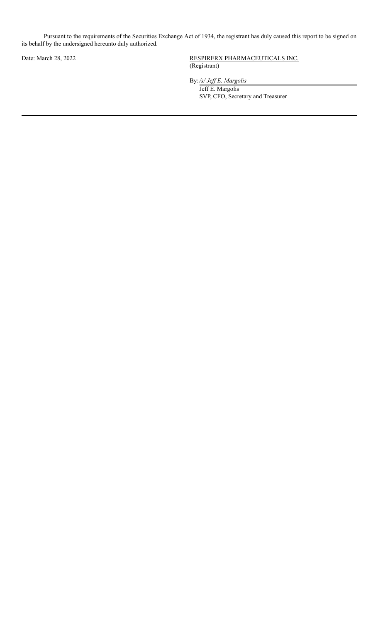Pursuant to the requirements of the Securities Exchange Act of 1934, the registrant has duly caused this report to be signed on its behalf by the undersigned hereunto duly authorized.

Date: March 28, 2022 RESPIRERX PHARMACEUTICALS INC. (Registrant)

By:*/s/ Jef E. Margolis*

Jeff E. Margolis SVP, CFO, Secretary and Treasurer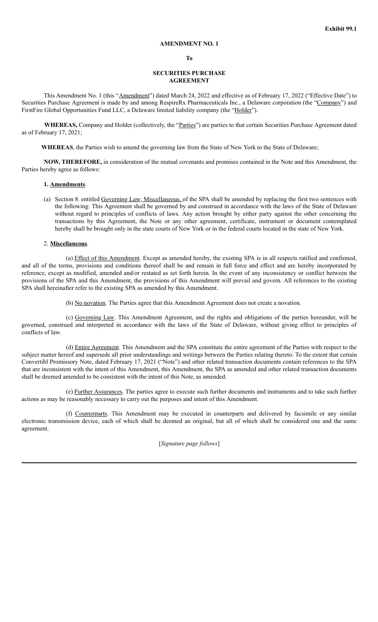#### **AMENDMENT NO. 1**

#### **To**

#### **SECURITIES PURCHASE AGREEMENT**

This Amendment No. 1 (this "Amendment") dated March 24, 2022 and effective as of February 17, 2022 ("Effective Date") to Securities Purchase Agreement is made by and among RespireRx Pharmaceuticals Inc., a Delaware corporation (the "Company") and FirstFire Global Opportunities Fund LLC, a Delaware limited liability company (the "Holder").

**WHEREAS,** Company and Holder (collectively, the "Parties") are parties to that certain Securities Purchase Agreement dated as of February 17, 2021;

**WHEREAS**, the Parties wish to amend the governing law from the State of New York to the State of Delaware;

**NOW, THEREFORE,** in consideration of the mutual covenants and promises contained in the Note and this Amendment, the Parties hereby agree as follows:

#### **1. Amendments**.

(a) Section 8. entitled Governing Law; Miscellaneous. of the SPA shall be amended by replacing the first two sentences with the following: This Agreement shall be governed by and construed in accordance with the laws of the State of Delaware without regard to principles of conflicts of laws. Any action brought by either party against the other concerning the transactions by this Agreement, the Note or any other agreement, certificate, instrument or document contemplated hereby shall be brought only in the state courts of New York or in the federal courts located in the state of New York.

#### 2. **Miscellaneous**.

(a) Effect of this Amendment. Except as amended hereby, the existing SPA is in all respects ratified and confirmed, and all of the terms, provisions and conditions thereof shall be and remain in full force and effect and are hereby incorporated by reference, except as modified, amended and/or restated as set forth herein. In the event of any inconsistency or conflict between the provisions of the SPA and this Amendment, the provisions of this Amendment will prevail and govern. All references to the existing SPA shall hereinafter refer to the existing SPA as amended by this Amendment.

(b) No novation. The Parties agree that this Amendment Agreement does not create a novation.

(c) Governing Law. This Amendment Agreement, and the rights and obligations of the parties hereunder, will be governed, construed and interpreted in accordance with the laws of the State of Delaware, without giving effect to principles of conflicts of law.

(d) Entire Agreement. This Amendment and the SPA constitute the entire agreement of the Parties with respect to the subject matter hereof and supersede all prior understandings and writings between the Parties relating thereto. To the extent that certain Convertibl Promissory Note, dated February 17, 2021 ("Note") and other related transaction documents contain references to the SPA that are inconsistent with the intent of this Amendment, this Amendment, the SPA as amended and other related transaction documents shall be deemed amended to be consistent with the intent of this Note, as amended.

(e) Further Assurances. The parties agree to execute such further documents and instruments and to take such further actions as may be reasonably necessary to carry out the purposes and intent of this Amendment.

(f) Counterparts. This Amendment may be executed in counterparts and delivered by facsimile or any similar electronic transmission device, each of which shall be deemed an original, but all of which shall be considered one and the same agreement.

[*Signature page follows*]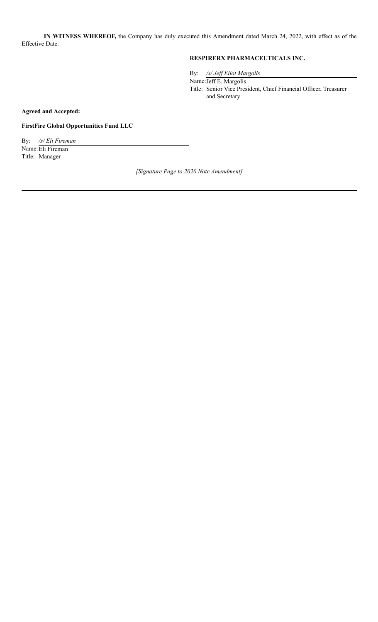**IN WITNESS WHEREOF,** the Company has duly executed this Amendment dated March 24, 2022, with effect as of the Effective Date.

### **RESPIRERX PHARMACEUTICALS INC.**

By: */s/ Jef Eliot Margolis*

Name:Jeff E. Margolis Title: Senior Vice President, Chief Financial Officer, Treasurer and Secretary

**Agreed and Accepted:**

**FirstFire Global Opportunities Fund LLC**

By: */s/ Eli Fireman* Name: Eli Fireman Title: Manager

*[Signature Page to 2020 Note Amendment]*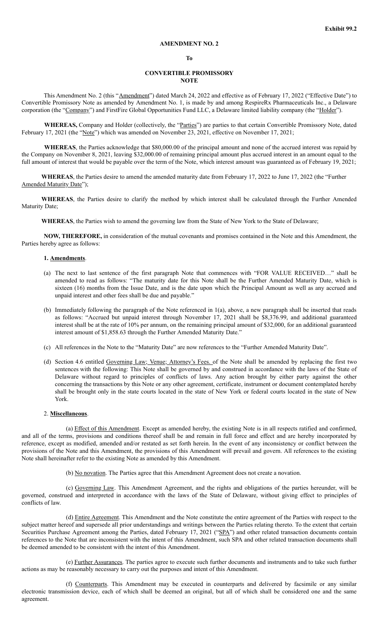#### **AMENDMENT NO. 2**

#### **To**

#### **CONVERTIBLE PROMISSORY NOTE**

This Amendment No. 2 (this "Amendment") dated March 24, 2022 and effective as of February 17, 2022 ("Effective Date") to Convertible Promissory Note as amended by Amendment No. 1, is made by and among RespireRx Pharmaceuticals Inc., a Delaware corporation (the "Company") and FirstFire Global Opportunities Fund LLC, a Delaware limited liability company (the "Holder").

**WHEREAS,** Company and Holder (collectively, the "Parties") are parties to that certain Convertible Promissory Note, dated February 17, 2021 (the "Note") which was amended on November 23, 2021, effective on November 17, 2021;

**WHEREAS**, the Parties acknowledge that \$80,000.00 of the principal amount and none of the accrued interest was repaid by the Company on November 8, 2021, leaving \$32,000.00 of remaining principal amount plus accrued interest in an amount equal to the full amount of interest that would be payable over the term of the Note, which interest amount was guaranteed as of February 19, 2021;

**WHEREAS**, the Parties desire to amend the amended maturity date from February 17, 2022 to June 17, 2022 (the "Further Amended Maturity Date");

**WHEREAS**, the Parties desire to clarify the method by which interest shall be calculated through the Further Amended Maturity Date;

**WHEREAS**, the Parties wish to amend the governing law from the State of New York to the State of Delaware;

**NOW, THEREFORE,** in consideration of the mutual covenants and promises contained in the Note and this Amendment, the Parties hereby agree as follows:

#### **1. Amendments**.

- (a) The next to last sentence of the first paragraph Note that commences with "FOR VALUE RECEIVED…" shall be amended to read as follows: "The maturity date for this Note shall be the Further Amended Maturity Date, which is sixteen (16) months from the Issue Date, and is the date upon which the Principal Amount as well as any accrued and unpaid interest and other fees shall be due and payable."
- (b) Immediately following the paragraph of the Note referenced in 1(a), above, a new paragraph shall be inserted that reads as follows: "Accrued but unpaid interest through November 17, 2021 shall be \$8,376.99, and additional guaranteed interest shall be at the rate of 10% per annum, on the remaining principal amount of \$32,000, for an additional guaranteed interest amount of \$1,858.63 through the Further Amended Maturity Date."
- (c) All references in the Note to the "Maturity Date" are now references to the "Further Amended Maturity Date".
- (d) Section 4.6 entitled Governing Law; Venue; Attorney's Fees. of the Note shall be amended by replacing the first two sentences with the following: This Note shall be governed by and construed in accordance with the laws of the State of Delaware without regard to principles of conflicts of laws. Any action brought by either party against the other concerning the transactions by this Note or any other agreement, certificate, instrument or document contemplated hereby shall be brought only in the state courts located in the state of New York or federal courts located in the state of New York.

#### 2. **Miscellaneous**.

(a) Effect of this Amendment. Except as amended hereby, the existing Note is in all respects ratified and confirmed, and all of the terms, provisions and conditions thereof shall be and remain in full force and effect and are hereby incorporated by reference, except as modified, amended and/or restated as set forth herein. In the event of any inconsistency or conflict between the provisions of the Note and this Amendment, the provisions of this Amendment will prevail and govern. All references to the existing Note shall hereinafter refer to the existing Note as amended by this Amendment.

(b) No novation. The Parties agree that this Amendment Agreement does not create a novation.

(c) Governing Law. This Amendment Agreement, and the rights and obligations of the parties hereunder, will be governed, construed and interpreted in accordance with the laws of the State of Delaware, without giving effect to principles of conflicts of law.

(d) Entire Agreement. This Amendment and the Note constitute the entire agreement of the Parties with respect to the subject matter hereof and supersede all prior understandings and writings between the Parties relating thereto. To the extent that certain Securities Purchase Agreement among the Parties, dated February 17, 2021 ("SPA") and other related transaction documents contain references to the Note that are inconsistent with the intent of this Amendment, such SPA and other related transaction documents shall be deemed amended to be consistent with the intent of this Amendment.

(e) Further Assurances. The parties agree to execute such further documents and instruments and to take such further actions as may be reasonably necessary to carry out the purposes and intent of this Amendment.

(f) Counterparts. This Amendment may be executed in counterparts and delivered by facsimile or any similar electronic transmission device, each of which shall be deemed an original, but all of which shall be considered one and the same agreement.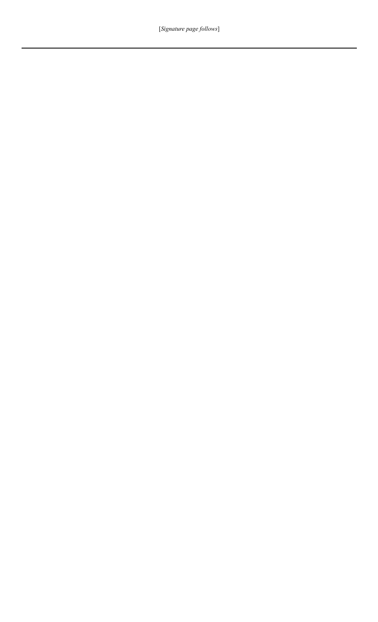[*Signature page follows*]